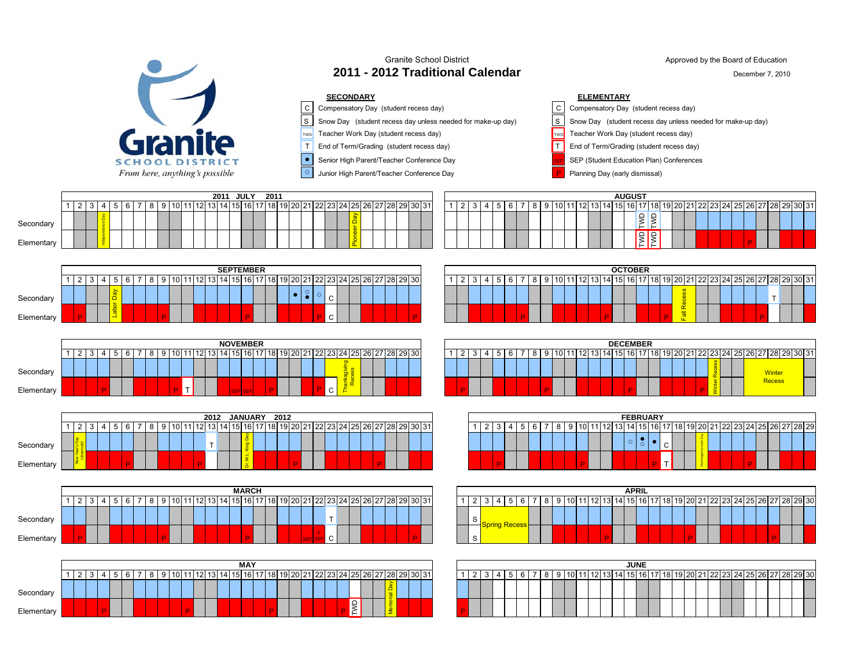